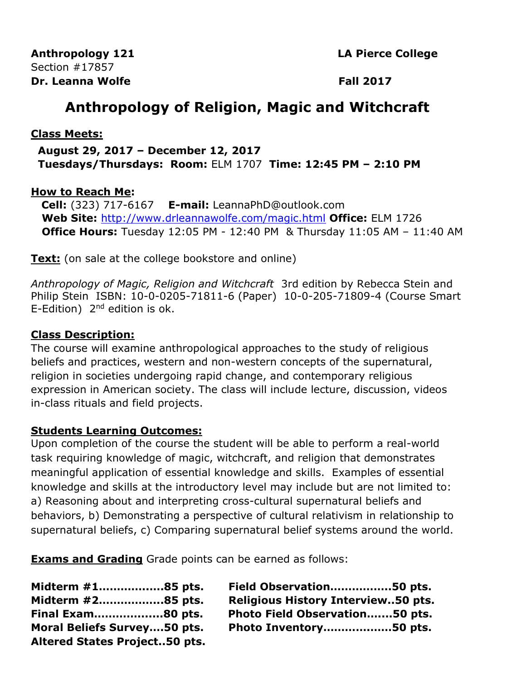**Anthropology 121 LA Pierce College** Section #17857 **Dr.** Leanna Wolfe **Fall 2017** 

# **Anthropology of Religion, Magic and Witchcraft**

### **Class Meets:**

 **August 29, 2017 – December 12, 2017 Tuesdays/Thursdays: Room:** ELM 1707 **Time: 12:45 PM – 2:10 PM**

### **How to Reach Me:**

 **Cell:** (323) 717-6167 **E-mail:** LeannaPhD@outlook.com **Web Site:** <http://www.drleannawolfe.com/magic.html> **Office:** ELM 1726 **Office Hours:** Tuesday 12:05 PM - 12:40 PM & Thursday 11:05 AM – 11:40 AM

**Text:** (on sale at the college bookstore and online)

*Anthropology of Magic, Religion and Witchcraft* 3rd edition by Rebecca Stein and Philip Stein ISBN: 10-0-0205-71811-6 (Paper) 10-0-205-71809-4 (Course Smart E-Edition)  $2<sup>nd</sup>$  edition is ok.

### **Class Description:**

The course will examine anthropological approaches to the study of religious beliefs and practices, western and non-western concepts of the supernatural, religion in societies undergoing rapid change, and contemporary religious expression in American society. The class will include lecture, discussion, videos in-class rituals and field projects.

### **Students Learning Outcomes:**

Upon completion of the course the student will be able to perform a real-world task requiring knowledge of magic, witchcraft, and religion that demonstrates meaningful application of essential knowledge and skills. Examples of essential knowledge and skills at the introductory level may include but are not limited to: a) Reasoning about and interpreting cross-cultural supernatural beliefs and behaviors, b) Demonstrating a perspective of cultural relativism in relationship to supernatural beliefs, c) Comparing supernatural belief systems around the world.

**Exams and Grading** Grade points can be earned as follows:

| Midterm #185 pts.                    | Field Observation50 pts.                  |
|--------------------------------------|-------------------------------------------|
| Midterm #285 pts.                    | <b>Religious History Interview50 pts.</b> |
| Final Exam80 pts.                    | Photo Field Observation50 pts.            |
| <b>Moral Beliefs Survey50 pts.</b>   | Photo Inventory50 pts.                    |
| <b>Altered States Project50 pts.</b> |                                           |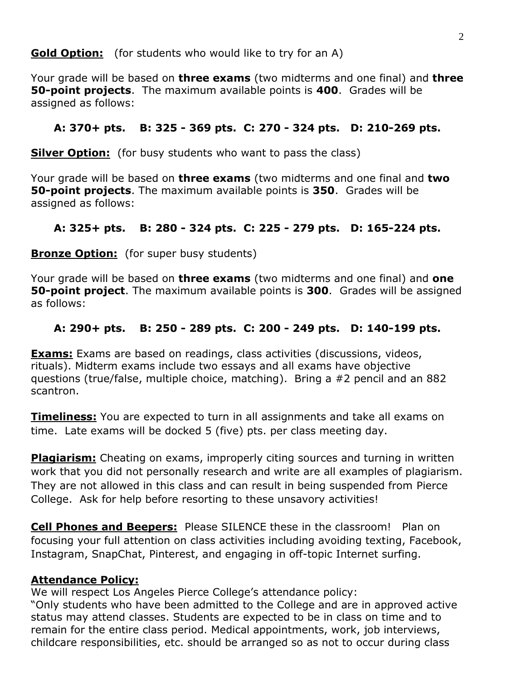**Gold Option:** (for students who would like to try for an A)

Your grade will be based on **three exams** (two midterms and one final) and **three 50-point projects**. The maximum available points is **400**. Grades will be assigned as follows:

## **A: 370+ pts. B: 325 - 369 pts. C: 270 - 324 pts. D: 210-269 pts.**

**Silver Option:** (for busy students who want to pass the class)

Your grade will be based on **three exams** (two midterms and one final and **two 50-point projects**. The maximum available points is **350**. Grades will be assigned as follows:

# **A: 325+ pts. B: 280 - 324 pts. C: 225 - 279 pts. D: 165-224 pts.**

**Bronze Option:** (for super busy students)

Your grade will be based on **three exams** (two midterms and one final) and **one 50-point project**. The maximum available points is **300**. Grades will be assigned as follows:

# **A: 290+ pts. B: 250 - 289 pts. C: 200 - 249 pts. D: 140-199 pts.**

**Exams:** Exams are based on readings, class activities (discussions, videos, rituals). Midterm exams include two essays and all exams have objective questions (true/false, multiple choice, matching).Bring a #2 pencil and an 882 scantron.

**Timeliness:** You are expected to turn in all assignments and take all exams on time. Late exams will be docked 5 (five) pts. per class meeting day.

**Plagiarism:** Cheating on exams, improperly citing sources and turning in written work that you did not personally research and write are all examples of plagiarism. They are not allowed in this class and can result in being suspended from Pierce College. Ask for help before resorting to these unsavory activities!

**Cell Phones and Beepers:** Please SILENCE these in the classroom! Plan on focusing your full attention on class activities including avoiding texting, Facebook, Instagram, SnapChat, Pinterest, and engaging in off-topic Internet surfing.

### **Attendance Policy:**

We will respect Los Angeles Pierce College's attendance policy: "Only students who have been admitted to the College and are in approved active status may attend classes. Students are expected to be in class on time and to remain for the entire class period. Medical appointments, work, job interviews, childcare responsibilities, etc. should be arranged so as not to occur during class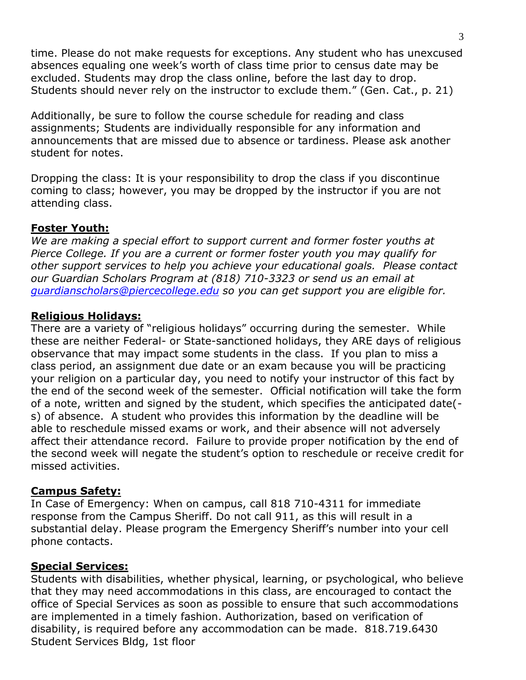time. Please do not make requests for exceptions. Any student who has unexcused absences equaling one week's worth of class time prior to census date may be excluded. Students may drop the class online, before the last day to drop. Students should never rely on the instructor to exclude them." (Gen. Cat., p. 21)

Additionally, be sure to follow the course schedule for reading and class assignments; Students are individually responsible for any information and announcements that are missed due to absence or tardiness. Please ask another student for notes.

Dropping the class: It is your responsibility to drop the class if you discontinue coming to class; however, you may be dropped by the instructor if you are not attending class.

### **Foster Youth:**

*We are making a special effort to support current and former foster youths at Pierce College. If you are a current or former foster youth you may qualify for other support services to help you achieve your educational goals. Please contact our Guardian Scholars Program at (818) 710-3323 or send us an email at [guardianscholars@piercecollege.edu](mailto:guardianscholars@piercecollege.edu) so you can get support you are eligible for.*

### **Religious Holidays:**

There are a variety of "religious holidays" occurring during the semester. While these are neither Federal- or State-sanctioned holidays, they ARE days of religious observance that may impact some students in the class. If you plan to miss a class period, an assignment due date or an exam because you will be practicing your religion on a particular day, you need to notify your instructor of this fact by the end of the second week of the semester. Official notification will take the form of a note, written and signed by the student, which specifies the anticipated date( s) of absence. A student who provides this information by the deadline will be able to reschedule missed exams or work, and their absence will not adversely affect their attendance record. Failure to provide proper notification by the end of the second week will negate the student's option to reschedule or receive credit for missed activities.

#### **Campus Safety:**

In Case of Emergency: When on campus, call 818 710-4311 for immediate response from the Campus Sheriff. Do not call 911, as this will result in a substantial delay. Please program the Emergency Sheriff's number into your cell phone contacts.

#### **Special Services:**

Students with disabilities, whether physical, learning, or psychological, who believe that they may need accommodations in this class, are encouraged to contact the office of Special Services as soon as possible to ensure that such accommodations are implemented in a timely fashion. Authorization, based on verification of disability, is required before any accommodation can be made. 818.719.6430 Student Services Bldg, 1st floor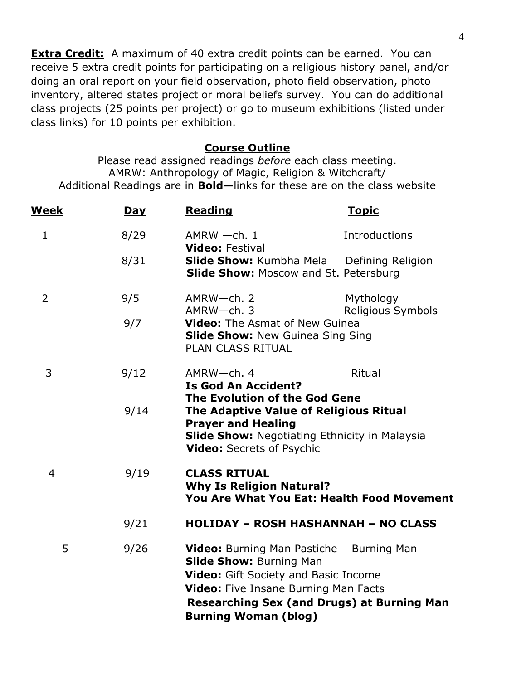**Extra Credit:** A maximum of 40 extra credit points can be earned. You can receive 5 extra credit points for participating on a religious history panel, and/or doing an oral report on your field observation, photo field observation, photo inventory, altered states project or moral beliefs survey. You can do additional class projects (25 points per project) or go to museum exhibitions (listed under class links) for 10 points per exhibition.

#### **Course Outline**

Please read assigned readings *before* each class meeting. AMRW: Anthropology of Magic, Religion & Witchcraft/ Additional Readings are in **Bold—**links for these are on the class website

| <u>Week</u> | Day  | <b>Reading</b>                                                                                                                                                                                   | <u>Topic</u>                                                            |  |
|-------------|------|--------------------------------------------------------------------------------------------------------------------------------------------------------------------------------------------------|-------------------------------------------------------------------------|--|
| 1           | 8/29 | $AMRW -ch.1$                                                                                                                                                                                     | Introductions                                                           |  |
|             | 8/31 | <b>Video: Festival</b><br><b>Slide Show:</b> Kumbha Mela Defining Religion<br>Slide Show: Moscow and St. Petersburg                                                                              |                                                                         |  |
| 2           | 9/5  | AMRW-ch. 2<br>$AMRW$ -ch. 3                                                                                                                                                                      | Mythology                                                               |  |
|             | 9/7  | Religious Symbols<br><b>Video:</b> The Asmat of New Guinea<br><b>Slide Show: New Guinea Sing Sing</b><br>PLAN CLASS RITUAL                                                                       |                                                                         |  |
| 3           | 9/12 | $AMRW$ -ch. 4<br><b>Is God An Accident?</b>                                                                                                                                                      | Ritual                                                                  |  |
|             | 9/14 | The Evolution of the God Gene<br>The Adaptive Value of Religious Ritual<br><b>Prayer and Healing</b><br><b>Slide Show: Negotiating Ethnicity in Malaysia</b><br><b>Video:</b> Secrets of Psychic |                                                                         |  |
| 4           | 9/19 | <b>CLASS RITUAL</b><br><b>Why Is Religion Natural?</b><br><b>You Are What You Eat: Health Food Movement</b>                                                                                      |                                                                         |  |
|             | 9/21 |                                                                                                                                                                                                  | <b>HOLIDAY - ROSH HASHANNAH - NO CLASS</b>                              |  |
| 5           | 9/26 | <b>Video:</b> Burning Man Pastiche<br><b>Slide Show: Burning Man</b><br>Video: Gift Society and Basic Income<br><b>Video:</b> Five Insane Burning Man Facts<br><b>Burning Woman (blog)</b>       | <b>Burning Man</b><br><b>Researching Sex (and Drugs) at Burning Man</b> |  |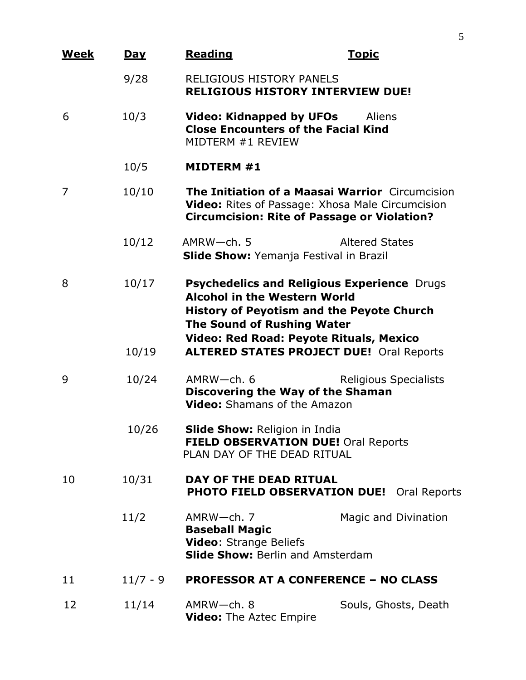| <u>Week</u> | <u>Day</u>     | <b>Reading</b>                                                                                                                                                                                                                                                                   | <u>Topic</u>          |
|-------------|----------------|----------------------------------------------------------------------------------------------------------------------------------------------------------------------------------------------------------------------------------------------------------------------------------|-----------------------|
|             | 9/28           | <b>RELIGIOUS HISTORY PANELS</b><br><b>RELIGIOUS HISTORY INTERVIEW DUE!</b>                                                                                                                                                                                                       |                       |
| 6           | 10/3           | <b>Video: Kidnapped by UFOs</b><br><b>Aliens</b><br><b>Close Encounters of the Facial Kind</b><br>MIDTERM #1 REVIEW                                                                                                                                                              |                       |
|             | 10/5           | <b>MIDTERM #1</b>                                                                                                                                                                                                                                                                |                       |
| 7           | 10/10          | <b>The Initiation of a Maasai Warrior</b> Circumcision<br><b>Video:</b> Rites of Passage: Xhosa Male Circumcision<br><b>Circumcision: Rite of Passage or Violation?</b>                                                                                                          |                       |
|             | 10/12          | $AMRW$ -ch. 5<br><b>Slide Show:</b> Yemanja Festival in Brazil                                                                                                                                                                                                                   | <b>Altered States</b> |
| 8           | 10/17<br>10/19 | Psychedelics and Religious Experience Drugs<br><b>Alcohol in the Western World</b><br><b>History of Peyotism and the Peyote Church</b><br><b>The Sound of Rushing Water</b><br><b>Video: Red Road: Peyote Rituals, Mexico</b><br><b>ALTERED STATES PROJECT DUE! Oral Reports</b> |                       |
| 9           | 10/24          | AMRW-ch. 6<br>Discovering the Way of the Shaman<br><b>Video:</b> Shamans of the Amazon                                                                                                                                                                                           | Religious Specialists |
|             | 10/26          | <b>Slide Show: Religion in India</b><br><b>FIELD OBSERVATION DUE!</b> Oral Reports<br>PLAN DAY OF THE DEAD RITUAL                                                                                                                                                                |                       |
| 10          | 10/31          | DAY OF THE DEAD RITUAL<br><b>PHOTO FIELD OBSERVATION DUE!</b> Oral Reports                                                                                                                                                                                                       |                       |
|             | 11/2           | AMRW-ch. 7<br><b>Baseball Magic</b><br><b>Video: Strange Beliefs</b><br><b>Slide Show: Berlin and Amsterdam</b>                                                                                                                                                                  | Magic and Divination  |
| 11          | $11/7 - 9$     | <b>PROFESSOR AT A CONFERENCE - NO CLASS</b>                                                                                                                                                                                                                                      |                       |
| 12          | 11/14          | AMRW-ch. 8<br><b>Video:</b> The Aztec Empire                                                                                                                                                                                                                                     | Souls, Ghosts, Death  |

5